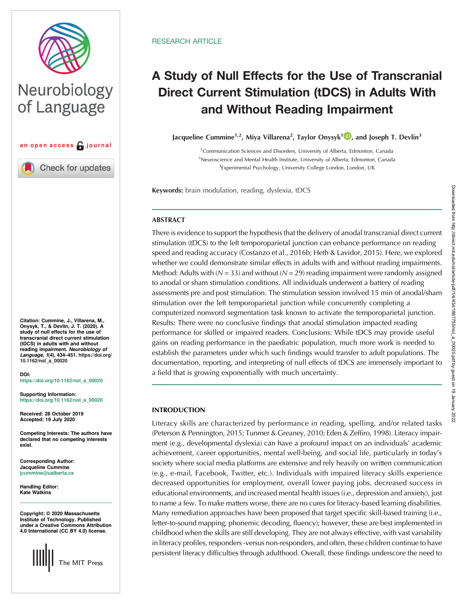

# Neurobiology of Language



Check for updates

Citation: Cummine, J., Villarena, M., Onysyk, T., & Devlin, J. T. (2020). A study of null effects for the use of transcranial direct current stimulation (tDCS) in adults with and without<br>reading impairment. Neurobiology of reading impairment. *Neurobiology of*<br>*Language*, 1(4), 434–451. [https://doi.org/](https://doi.org/10.1162/nol_a_00020)<br>10.1162/pol. a. 00020 [10.1162/nol\\_a\\_00020](https://doi.org/10.1162/nol_a_00020)

DOI: [https://doi.org/10.1162/nol\\_a\\_00020](https://doi.org/10.1162/nol_a_00020)

Supporting Information: [https://doi.org/10.1162/nol\\_a\\_00020](https://doi.org/10.1162/nol_a_00020)

Received: 28 October 2019 Accepted: 19 July 2020

Competing Interests: The authors have declared that no competing interests exist.

Corresponding Author: Jacqueline Cummine [jcummine@ualberta.ca](mailto:jcummine@ualberta.ca)

Handling Editor: Kate Watkins

Copyright: © 2020 Massachusetts Institute of Technology. Published under a Creative Commons Attribution 4.0 International (CC BY 4.0) license.



## **RESEARCH ARTICLE**

## A Study of Null Effects for the Use of Transcranial Direct Current Stimulation (tDCS) in Adults With and Without Reading Impairment

Jacqueline Cummine<sup>1,2</sup>, Miya Villarena<sup>2</sup>, Taylor Onysyk<sup>1</sup> D, and Joseph T. Devlin<sup>3</sup>

<sup>1</sup> Communication Sciences and Disorders, University of Alberta, Edmonton, Canada <sup>2</sup>Neuroscience and Mental Health Institute, University of Alberta, Edmonton, Canada <sup>3</sup> Experimental Psychology, University College London, London, UK

Keywords: brain modulation, reading, dyslexia, tDCS

## **ABSTRACT**

There is evidence to support the hypothesis that the delivery of anodal transcranial direct current stimulation (tDCS) to the left temporoparietal junction can enhance performance on reading speed and reading accuracy (Costanzo et al., 2016b; Heth & Lavidor, 2015). Here, we explored whether we could demonstrate similar effects in adults with and without reading impairments. Method: Adults with  $(N = 33)$  and without  $(N = 29)$  reading impairment were randomly assigned to anodal or sham stimulation conditions. All individuals underwent a battery of reading assessments pre and post stimulation. The stimulation session involved 15 min of anodal/sham stimulation over the left temporoparietal junction while concurrently completing a computerized nonword segmentation task known to activate the temporoparietal junction. Results: There were no conclusive findings that anodal stimulation impacted reading performance for skilled or impaired readers. Conclusions: While tDCS may provide useful gains on reading performance in the paediatric population, much more work is needed to establish the parameters under which such findings would transfer to adult populations. The documentation, reporting, and interpreting of null effects of tDCS are immensely important to a field that is growing exponentially with much uncertainty.

## INTRODUCTION

Literacy skills are characterized by performance in reading, spelling, and/or related tasks (Peterson & Pennington, 2015; Tunmer & Greaney, 2010; Eden & Zeffiro, 1998). Literacy impairment (e.g., developmental dyslexia) can have a profound impact on an individuals' academic achievement, career opportunities, mental well-being, and social life, particularly in today's society where social media platforms are extensive and rely heavily on written communication (e.g., e-mail, Facebook, Twitter, etc.). Individuals with impaired literacy skills experience decreased opportunities for employment, overall lower paying jobs, decreased success in educational environments, and increased mental health issues (i.e., depression and anxiety), just to name a few. To make matters worse, there are no cures for literacy-based learning disabilities. Many remediation approaches have been proposed that target specific skill-based training (i.e., letter-to-sound mapping, phonemic decoding, fluency); however, these are best implemented in childhood when the skills are still developing. They are not always effective, with vast variability in literacy profiles, responders -versus non-responders, and often, these children continue to have persistent literacy difficulties through adulthood. Overall, these findings underscore the need to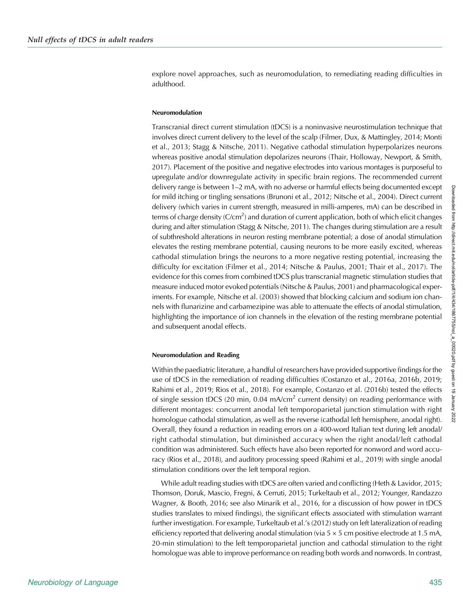explore novel approaches, such as neuromodulation, to remediating reading difficulties in adulthood.

#### Neuromodulation

Transcranial direct current stimulation (tDCS) is a noninvasive neurostimulation technique that involves direct current delivery to the level of the scalp (Filmer, Dux, & Mattingley, 2014; Monti et al., 2013; Stagg & Nitsche, 2011). Negative cathodal stimulation hyperpolarizes neurons whereas positive anodal stimulation depolarizes neurons (Thair, Holloway, Newport, & Smith, 2017). Placement of the positive and negative electrodes into various montages is purposeful to upregulate and/or downregulate activity in specific brain regions. The recommended current delivery range is between 1–2 mA, with no adverse or harmful effects being documented except for mild itching or tingling sensations (Brunoni et al., 2012; Nitsche et al., 2004). Direct current delivery (which varies in current strength, measured in milli-amperes, mA) can be described in terms of charge density (C/cm<sup>2</sup>) and duration of current application, both of which elicit changes during and after stimulation (Stagg & Nitsche, 2011). The changes during stimulation are a result of subthreshold alterations in neuron resting membrane potential; a dose of anodal stimulation elevates the resting membrane potential, causing neurons to be more easily excited, whereas cathodal stimulation brings the neurons to a more negative resting potential, increasing the difficulty for excitation (Filmer et al., 2014; Nitsche & Paulus, 2001; Thair et al., 2017). The evidence for this comes from combined tDCS plus transcranial magnetic stimulation studies that measure induced motor evoked potentials (Nitsche & Paulus, 2001) and pharmacological experiments. For example, Nitsche et al. (2003) showed that blocking calcium and sodium ion channels with flunarizine and carbamezipine was able to attenuate the effects of anodal stimulation, highlighting the importance of ion channels in the elevation of the resting membrane potential and subsequent anodal effects.

#### Neuromodulation and Reading

Within the paediatric literature, a handful of researchers have provided supportive findings for the use of tDCS in the remediation of reading difficulties (Costanzo et al., 2016a, 2016b, 2019; Rahimi et al., 2019; Rios et al., 2018). For example, Costanzo et al. (2016b) tested the effects of single session tDCS (20 min,  $0.04 \text{ mA/cm}^2$  current density) on reading performance with different montages: concurrent anodal left temporoparietal junction stimulation with right homologue cathodal stimulation, as well as the reverse (cathodal left hemisphere, anodal right). Overall, they found a reduction in reading errors on a 400-word Italian text during left anodal/ right cathodal stimulation, but diminished accuracy when the right anodal/left cathodal condition was administered. Such effects have also been reported for nonword and word accuracy (Rios et al., 2018), and auditory processing speed (Rahimi et al., 2019) with single anodal stimulation conditions over the left temporal region.

While adult reading studies with tDCS are often varied and conflicting (Heth & Lavidor, 2015; Thomson, Doruk, Mascio, Fregni, & Cerruti, 2015; Turkeltaub et al., 2012; Younger, Randazzo Wagner, & Booth, 2016; see also Minarik et al., 2016, for a discussion of how power in tDCS studies translates to mixed findings), the significant effects associated with stimulation warrant further investigation. For example, Turkeltaub et al.'s (2012) study on left lateralization of reading efficiency reported that delivering anodal stimulation (via  $5 \times 5$  cm positive electrode at 1.5 mA, 20-min stimulation) to the left temporoparietal junction and cathodal stimulation to the right homologue was able to improve performance on reading both words and nonwords. In contrast,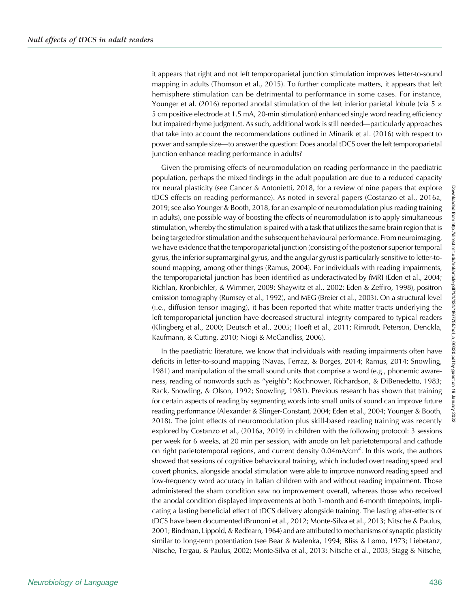it appears that right and not left temporoparietal junction stimulation improves letter-to-sound mapping in adults (Thomson et al., 2015). To further complicate matters, it appears that left hemisphere stimulation can be detrimental to performance in some cases. For instance, Younger et al. (2016) reported anodal stimulation of the left inferior parietal lobule (via 5  $\times$ 5 cm positive electrode at 1.5 mA, 20-min stimulation) enhanced single word reading efficiency but impaired rhyme judgment. As such, additional work is still needed—particularly approaches that take into account the recommendations outlined in Minarik et al. (2016) with respect to power and sample size—to answer the question: Does anodal tDCS over the left temporoparietal junction enhance reading performance in adults?

Given the promising effects of neuromodulation on reading performance in the paediatric population, perhaps the mixed findings in the adult population are due to a reduced capacity for neural plasticity (see Cancer & Antonietti, 2018, for a review of nine papers that explore tDCS effects on reading performance). As noted in several papers (Costanzo et al., 2016a, 2019; see also Younger & Booth, 2018, for an example of neuromodulation plus reading training in adults), one possible way of boosting the effects of neuromodulation is to apply simultaneous stimulation, whereby the stimulation is paired with a task that utilizes the same brain region that is being targeted for stimulation and the subsequent behavioural performance. From neuroimaging, we have evidence that the temporoparietal junction (consisting of the posterior superior temporal gyrus, the inferior supramarginal gyrus, and the angular gyrus) is particularly sensitive to letter-tosound mapping, among other things (Ramus, 2004). For individuals with reading impairments, the temporoparietal junction has been identified as underactivated by fMRI (Eden et al., 2004; Richlan, Kronbichler, & Wimmer, 2009; Shaywitz et al., 2002; Eden & Zeffiro, 1998), positron emission tomography (Rumsey et al., 1992), and MEG (Breier et al., 2003). On a structural level (i.e., diffusion tensor imaging), it has been reported that white matter tracts underlying the left temporoparietal junction have decreased structural integrity compared to typical readers (Klingberg et al., 2000; Deutsch et al., 2005; Hoeft et al., 2011; Rimrodt, Peterson, Denckla, Kaufmann, & Cutting, 2010; Niogi & McCandliss, 2006).

In the paediatric literature, we know that individuals with reading impairments often have deficits in letter-to-sound mapping (Navas, Ferraz, & Borges, 2014; Ramus, 2014; Snowling, 1981) and manipulation of the small sound units that comprise a word (e.g., phonemic awareness, reading of nonwords such as "yeighb"; Kochnower, Richardson, & DiBenedetto, 1983; Rack, Snowling, & Olson, 1992; Snowling, 1981). Previous research has shown that training for certain aspects of reading by segmenting words into small units of sound can improve future reading performance (Alexander & Slinger-Constant, 2004; Eden et al., 2004; Younger & Booth, 2018). The joint effects of neuromodulation plus skill-based reading training was recently explored by Costanzo et al., (2016a, 2019) in children with the following protocol: 3 sessions per week for 6 weeks, at 20 min per session, with anode on left parietotemporal and cathode on right parietotemporal regions, and current density 0.04mA/cm<sup>2</sup>. In this work, the authors showed that sessions of cognitive behavioural training, which included overt reading speed and covert phonics, alongside anodal stimulation were able to improve nonword reading speed and low-frequency word accuracy in Italian children with and without reading impairment. Those administered the sham condition saw no improvement overall, whereas those who received the anodal condition displayed improvements at both 1-month and 6-month timepoints, implicating a lasting beneficial effect of tDCS delivery alongside training. The lasting after-effects of tDCS have been documented (Brunoni et al., 2012; Monte-Silva et al., 2013; Nitsche & Paulus, 2001; Bindman, Lippold, & Redfearn, 1964) and are attributed to mechanisms of synaptic plasticity similar to long-term potentiation (see Bear & Malenka, 1994; Bliss & Lømo, 1973; Liebetanz, Nitsche, Tergau, & Paulus, 2002; Monte-Silva et al., 2013; Nitsche et al., 2003; Stagg & Nitsche,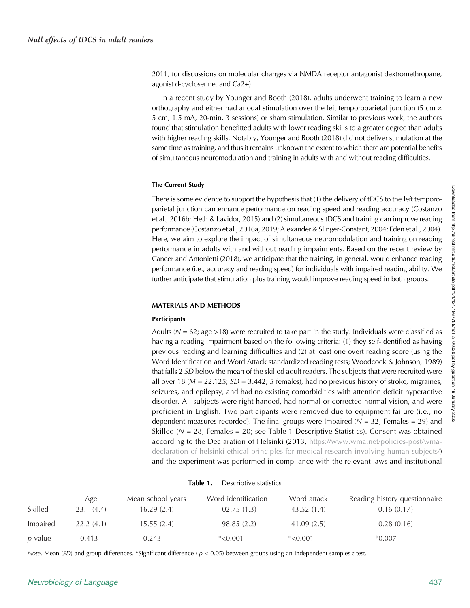2011, for discussions on molecular changes via NMDA receptor antagonist dextromethropane, agonist d-cycloserine, and Ca2+).

In a recent study by Younger and Booth (2018), adults underwent training to learn a new orthography and either had anodal stimulation over the left temporoparietal junction (5 cm  $\times$ 5 cm, 1.5 mA, 20-min, 3 sessions) or sham stimulation. Similar to previous work, the authors found that stimulation benefitted adults with lower reading skills to a greater degree than adults with higher reading skills. Notably, Younger and Booth (2018) did not deliver stimulation at the same time as training, and thus it remains unknown the extent to which there are potential benefits of simultaneous neuromodulation and training in adults with and without reading difficulties.

#### The Current Study

There is some evidence to support the hypothesis that (1) the delivery of tDCS to the left temporoparietal junction can enhance performance on reading speed and reading accuracy (Costanzo et al., 2016b; Heth & Lavidor, 2015) and (2) simultaneous tDCS and training can improve reading performance (Costanzo et al., 2016a, 2019; Alexander & Slinger-Constant, 2004; Eden et al., 2004). Here, we aim to explore the impact of simultaneous neuromodulation and training on reading performance in adults with and without reading impairments. Based on the recent review by Cancer and Antonietti (2018), we anticipate that the training, in general, would enhance reading performance (i.e., accuracy and reading speed) for individuals with impaired reading ability. We further anticipate that stimulation plus training would improve reading speed in both groups.

## MATERIALS AND METHODS

## **Participants**

Adults ( $N = 62$ ; age >18) were recruited to take part in the study. Individuals were classified as having a reading impairment based on the following criteria: (1) they self-identified as having previous reading and learning difficulties and (2) at least one overt reading score (using the Word Identification and Word Attack standardized reading tests; Woodcock & Johnson, 1989) that falls 2 SD below the mean of the skilled adult readers. The subjects that were recruited were all over 18 ( $M = 22.125$ ;  $SD = 3.442$ ; 5 females), had no previous history of stroke, migraines, seizures, and epilepsy, and had no existing comorbidities with attention deficit hyperactive disorder. All subjects were right-handed, had normal or corrected normal vision, and were proficient in English. Two participants were removed due to equipment failure (i.e., no dependent measures recorded). The final groups were Impaired ( $N = 32$ ; Females = 29) and Skilled ( $N = 28$ ; Females = 20; see Table 1 Descriptive Statistics). Consent was obtained according to the Declaration of Helsinki (2013, [https://www.wma.net/policies-post/wma](https://www.wma.net/policies-post/wma-declaration-of-helsinki-ethical-principles-for-medical-research-involving-human-subjects/)[declaration-of-helsinki-ethical-principles-for-medical-research-involving-human-subjects/](https://www.wma.net/policies-post/wma-declaration-of-helsinki-ethical-principles-for-medical-research-involving-human-subjects/)) and the experiment was performed in compliance with the relevant laws and institutional

| Table 1. | Descriptive statistics |  |
|----------|------------------------|--|
|          |                        |  |

|          | Age       | Mean school years | Word identification | Word attack | Reading history questionnaire |
|----------|-----------|-------------------|---------------------|-------------|-------------------------------|
| Skilled  | 23.1(4.4) | 16.29(2.4)        | 102.75(1.3)         | 43.52(1.4)  | 0.16(0.17)                    |
| Impaired | 22.2(4.1) | 15.55(2.4)        | 98.85(2.2)          | 41.09(2.5)  | 0.28(0.16)                    |
| p value  | 0.413     | 0.243             | $*<0.001$           | $*<0.001$   | $*0.007$                      |

Note. Mean (SD) and group differences. \*Significant difference ( $p < 0.05$ ) between groups using an independent samples t test.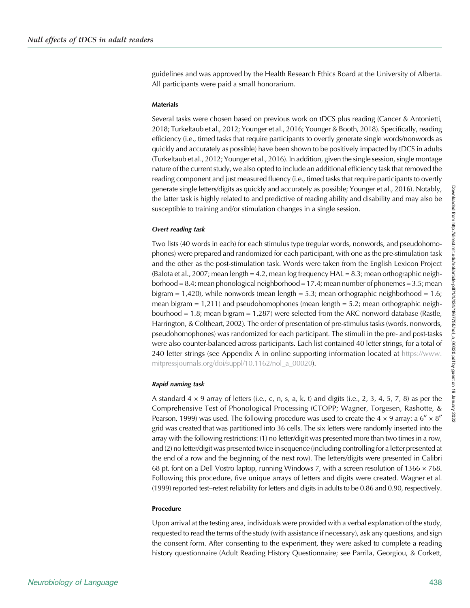guidelines and was approved by the Health Research Ethics Board at the University of Alberta. All participants were paid a small honorarium.

#### Materials

Several tasks were chosen based on previous work on tDCS plus reading (Cancer & Antonietti, 2018; Turkeltaub et al., 2012; Younger et al., 2016; Younger & Booth, 2018). Specifically, reading efficiency (i.e., timed tasks that require participants to overtly generate single words/nonwords as quickly and accurately as possible) have been shown to be positively impacted by tDCS in adults (Turkeltaub et al., 2012; Younger et al., 2016). In addition, given the single session, single montage nature of the current study, we also opted to include an additional efficiency task that removed the reading component and just measured fluency (i.e., timed tasks that require participants to overtly generate single letters/digits as quickly and accurately as possible; Younger et al., 2016). Notably, the latter task is highly related to and predictive of reading ability and disability and may also be susceptible to training and/or stimulation changes in a single session.

#### Overt reading task

Two lists (40 words in each) for each stimulus type (regular words, nonwords, and pseudohomophones) were prepared and randomized for each participant, with one as the pre-stimulation task and the other as the post-stimulation task. Words were taken from the English Lexicon Project (Balota et al., 2007; mean length = 4.2, mean log frequency  $HAL = 8.3$ ; mean orthographic neighborhood  $= 8.4$ ; mean phonological neighborhood  $= 17.4$ ; mean number of phonemes  $= 3.5$ ; mean bigram =  $1,420$ , while nonwords (mean length =  $5.3$ ; mean orthographic neighborhood =  $1.6$ ; mean bigram  $= 1,211$ ) and pseudohomophones (mean length  $= 5.2$ ; mean orthographic neighbourhood = 1.8; mean bigram = 1,287) were selected from the ARC nonword database (Rastle, Harrington, & Coltheart, 2002). The order of presentation of pre-stimulus tasks (words, nonwords, pseudohomophones) was randomized for each participant. The stimuli in the pre- and post-tasks were also counter-balanced across participants. Each list contained 40 letter strings, for a total of 240 letter strings (see Appendix A in online supporting information located at [https://www.](https://www.mitpressjournals.org/doi/suppl/10.1162/nol_a_00020) [mitpressjournals.org/doi/suppl/10.1162/nol\\_a\\_00020\)](https://www.mitpressjournals.org/doi/suppl/10.1162/nol_a_00020).

#### Rapid naming task

A standard  $4 \times 9$  array of letters (i.e., c, n, s, a, k, t) and digits (i.e., 2, 3, 4, 5, 7, 8) as per the Comprehensive Test of Phonological Processing (CTOPP; Wagner, Torgesen, Rashotte, & Pearson, 1999) was used. The following procedure was used to create the 4  $\times$  9 array: a 6"  $\times$  8" grid was created that was partitioned into 36 cells. The six letters were randomly inserted into the array with the following restrictions: (1) no letter/digit was presented more than two times in a row, and (2) no letter/digit was presented twice in sequence (including controlling for a letter presented at the end of a row and the beginning of the next row). The letters/digits were presented in Calibri 68 pt. font on a Dell Vostro laptop, running Windows 7, with a screen resolution of  $1366 \times 768$ . Following this procedure, five unique arrays of letters and digits were created. Wagner et al. (1999) reported test–retest reliability for letters and digits in adults to be 0.86 and 0.90, respectively.

#### Procedure

Upon arrival at the testing area, individuals were provided with a verbal explanation of the study, requested to read the terms of the study (with assistance if necessary), ask any questions, and sign the consent form. After consenting to the experiment, they were asked to complete a reading history questionnaire (Adult Reading History Questionnaire; see Parrila, Georgiou, & Corkett,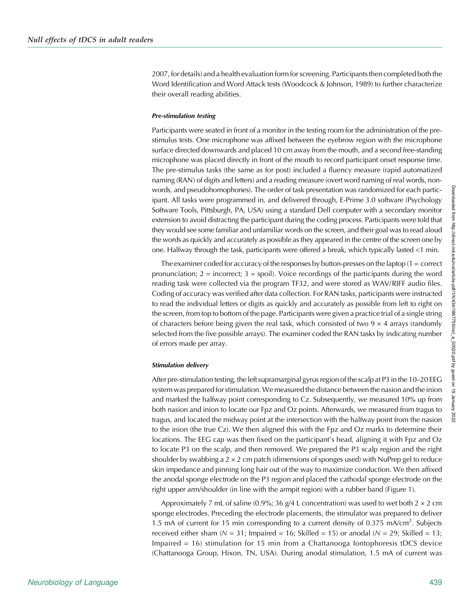2007, for details) and a health evaluation form for screening. Participants then completed both the Word Identification and Word Attack tests (Woodcock & Johnson, 1989) to further characterize their overall reading abilities.

#### Pre-stimulation testing

Participants were seated in front of a monitor in the testing room for the administration of the prestimulus tests. One microphone was affixed between the eyebrow region with the microphone surface directed downwards and placed 10 cm away from the mouth, and a second free-standing microphone was placed directly in front of the mouth to record participant onset response time. The pre-stimulus tasks (the same as for post) included a fluency measure (rapid automatized naming (RAN) of digits and letters) and a reading measure (overt word naming of real words, nonwords, and pseudohomophones). The order of task presentation was randomized for each participant. All tasks were programmed in, and delivered through, E-Prime 3.0 software (Psychology Software Tools, Pittsburgh, PA, USA) using a standard Dell computer with a secondary monitor extension to avoid distracting the participant during the coding process. Participants were told that they would see some familiar and unfamiliar words on the screen, and their goal was to read aloud the words as quickly and accurately as possible as they appeared in the centre of the screen one by one. Halfway through the task, participants were offered a break, which typically lasted <1 min.

The examiner coded for accuracy of the responses by button-presses on the laptop  $(1 =$  correct pronunciation;  $2 =$  incorrect;  $3 =$  spoil). Voice recordings of the participants during the word reading task were collected via the program TF32, and were stored as WAV/RIFF audio files. Coding of accuracy was verified after data collection. For RAN tasks, participants were instructed to read the individual letters or digits as quickly and accurately as possible from left to right on the screen, from top to bottom of the page. Participants were given a practice trial of a single string of characters before being given the real task, which consisted of two  $9 \times 4$  arrays (randomly selected from the five possible arrays). The examiner coded the RAN tasks by indicating number of errors made per array.

#### Stimulation delivery

After pre-stimulation testing, the left supramarginal gyrus region of the scalp at P3 in the 10–20 EEG system was prepared for stimulation.We measured the distance between the nasion and the inion and marked the halfway point corresponding to Cz. Subsequently, we measured 10% up from both nasion and inion to locate our Fpz and Oz points. Afterwards, we measured from tragus to tragus, and located the midway point at the intersection with the halfway point from the nasion to the inion (the true Cz). We then aligned this with the Fpz and Oz marks to determine their locations. The EEG cap was then fixed on the participant's head, aligning it with Fpz and Oz to locate P3 on the scalp, and then removed. We prepared the P3 scalp region and the right shoulder by swabbing a  $2 \times 2$  cm patch (dimensions of sponges used) with NuPrep gel to reduce skin impedance and pinning long hair out of the way to maximize conduction. We then affixed the anodal sponge electrode on the P3 region and placed the cathodal sponge electrode on the right upper arm/shoulder (in line with the armpit region) with a rubber band (Figure 1).

Approximately 7 mL of saline (0.9%; 36 g/4 L concentration) was used to wet both  $2 \times 2$  cm sponge electrodes. Preceding the electrode placements, the stimulator was prepared to deliver 1.5 mA of current for 15 min corresponding to a current density of 0.375 mA/cm<sup>2</sup>. Subjects received either sham  $(N = 31$ ; Impaired = 16; Skilled = 15) or anodal  $(N = 29)$ ; Skilled = 13; Impaired = 16) stimulation for 15 min from a Chattanooga Iontophoresis tDCS device (Chattanooga Group, Hixon, TN, USA). During anodal stimulation, 1.5 mA of current was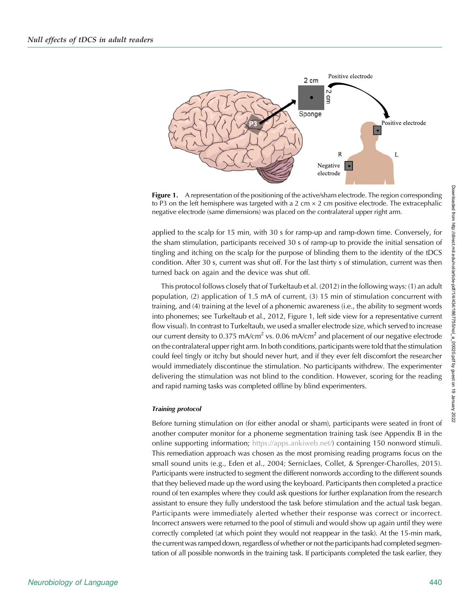

**Figure 1.** A representation of the positioning of the active/sham electrode. The region corresponding to P3 on the left hemisphere was targeted with a 2 cm  $\times$  2 cm positive electrode. The extracephalic negative electrode (same dimensions) was placed on the contralateral upper right arm.

applied to the scalp for 15 min, with 30 s for ramp-up and ramp-down time. Conversely, for the sham stimulation, participants received 30 s of ramp-up to provide the initial sensation of tingling and itching on the scalp for the purpose of blinding them to the identity of the tDCS condition. After 30 s, current was shut off. For the last thirty s of stimulation, current was then turned back on again and the device was shut off.

This protocol follows closely that of Turkeltaub et al. (2012) in the following ways: (1) an adult population, (2) application of 1.5 mA of current, (3) 15 min of stimulation concurrent with training, and (4) training at the level of a phonemic awareness (i.e., the ability to segment words into phonemes; see Turkeltaub et al., 2012, Figure 1, left side view for a representative current flow visual). In contrast to Turkeltaub, we used a smaller electrode size, which served to increase our current density to 0.375 mA/cm<sup>2</sup> vs. 0.06 mA/cm<sup>2</sup> and placement of our negative electrode on the contralateral upper right arm. In both conditions, participants were told that the stimulation could feel tingly or itchy but should never hurt, and if they ever felt discomfort the researcher would immediately discontinue the stimulation. No participants withdrew. The experimenter delivering the stimulation was not blind to the condition. However, scoring for the reading and rapid naming tasks was completed offline by blind experimenters.

#### Training protocol

Before turning stimulation on (for either anodal or sham), participants were seated in front of another computer monitor for a phoneme segmentation training task (see Appendix B in the online supporting information; [https://apps.ankiweb.net/\)](https://apps.ankiweb.net/) containing 150 nonword stimuli. This remediation approach was chosen as the most promising reading programs focus on the small sound units (e.g., Eden et al., 2004; Serniclaes, Collet, & Sprenger-Charolles, 2015). Participants were instructed to segment the different nonwords according to the different sounds that they believed made up the word using the keyboard. Participants then completed a practice round of ten examples where they could ask questions for further explanation from the research assistant to ensure they fully understood the task before stimulation and the actual task began. Participants were immediately alerted whether their response was correct or incorrect. Incorrect answers were returned to the pool of stimuli and would show up again until they were correctly completed (at which point they would not reappear in the task). At the 15-min mark, the current was ramped down, regardless of whether or not the participants had completed segmentation of all possible nonwords in the training task. If participants completed the task earlier, they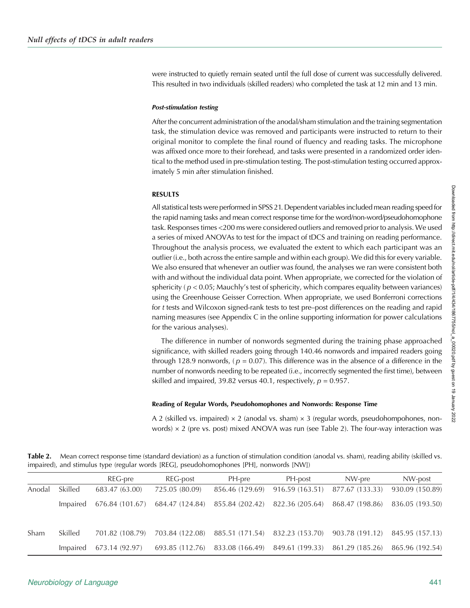were instructed to quietly remain seated until the full dose of current was successfully delivered. This resulted in two individuals (skilled readers) who completed the task at 12 min and 13 min.

#### Post-stimulation testing

After the concurrent administration of the anodal/sham stimulation and the training segmentation task, the stimulation device was removed and participants were instructed to return to their original monitor to complete the final round of fluency and reading tasks. The microphone was affixed once more to their forehead, and tasks were presented in a randomized order identical to the method used in pre-stimulation testing. The post-stimulation testing occurred approximately 5 min after stimulation finished.

#### RESULTS

All statistical tests were performed in SPSS 21. Dependent variables included mean reading speed for the rapid naming tasks and mean correct response time for the word/non-word/pseudohomophone task. Responses times <200 ms were considered outliers and removed prior to analysis. We used a series of mixed ANOVAs to test for the impact of tDCS and training on reading performance. Throughout the analysis process, we evaluated the extent to which each participant was an outlier (i.e., both across the entire sample and within each group). We did this for every variable. We also ensured that whenever an outlier was found, the analyses we ran were consistent both with and without the individual data point. When appropriate, we corrected for the violation of sphericity ( $p < 0.05$ ; Mauchly's test of sphericity, which compares equality between variances) using the Greenhouse Geisser Correction. When appropriate, we used Bonferroni corrections for t tests and Wilcoxon signed-rank tests to test pre–post differences on the reading and rapid naming measures (see Appendix C in the online supporting information for power calculations for the various analyses).

The difference in number of nonwords segmented during the training phase approached significance, with skilled readers going through 140.46 nonwords and impaired readers going through 128.9 nonwords, ( $p = 0.07$ ). This difference was in the absence of a difference in the number of nonwords needing to be repeated (i.e., incorrectly segmented the first time), between skilled and impaired, 39.82 versus 40.1, respectively,  $p = 0.957$ .

#### Reading of Regular Words, Pseudohomophones and Nonwords: Response Time

A 2 (skilled vs. impaired)  $\times$  2 (anodal vs. sham)  $\times$  3 (regular words, pseudohompohones, nonwords)  $\times$  2 (pre vs. post) mixed ANOVA was run (see Table 2). The four-way interaction was

Table 2. Mean correct response time (standard deviation) as a function of stimulation condition (anodal vs. sham), reading ability (skilled vs. impaired), and stimulus type (regular words [REG], pseudohomophones [PH], nonwords [NW])

|        |          | REG-pre         | REG-post                                                                        | PH-pre          | PH-post                                                                         | NW-pre                            | NW-post         |
|--------|----------|-----------------|---------------------------------------------------------------------------------|-----------------|---------------------------------------------------------------------------------|-----------------------------------|-----------------|
| Anodal | Skilled  | 683.47 (63.00)  | 725.05 (80.09)                                                                  | 856.46 (129.69) |                                                                                 | $916.59(163.51)$ $877.67(133.33)$ | 930.09 (150.89) |
|        | Impaired |                 | 676.84 (101.67) 684.47 (124.84) 855.84 (202.42) 822.36 (205.64) 868.47 (198.86) |                 |                                                                                 |                                   | 836.05 (193.50) |
| Sham   | Skilled  | 701.82 (108.79) |                                                                                 |                 | 703.84 (122.08) 885.51 (171.54) 832.23 (153.70) 903.78 (191.12) 845.95 (157.13) |                                   |                 |
|        | Impaired | 673.14 (92.97)  |                                                                                 |                 | 693.85 (112.76) 833.08 (166.49) 849.61 (199.33) 861.29 (185.26) 865.96 (192.54) |                                   |                 |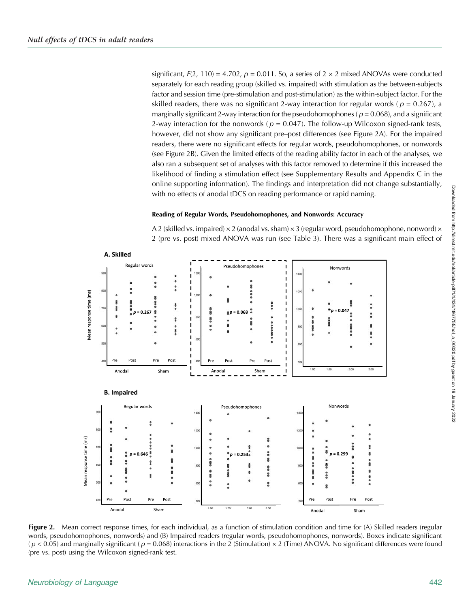significant,  $F(2, 110) = 4.702$ ,  $p = 0.011$ . So, a series of  $2 \times 2$  mixed ANOVAs were conducted separately for each reading group (skilled vs. impaired) with stimulation as the between-subjects factor and session time (pre-stimulation and post-stimulation) as the within-subject factor. For the skilled readers, there was no significant 2-way interaction for regular words ( $p = 0.267$ ), a marginally significant 2-way interaction for the pseudohomophones ( $p = 0.068$ ), and a significant 2-way interaction for the nonwords ( $p = 0.047$ ). The follow-up Wilcoxon signed-rank tests, however, did not show any significant pre–post differences (see Figure 2A). For the impaired readers, there were no significant effects for regular words, pseudohomophones, or nonwords (see Figure 2B). Given the limited effects of the reading ability factor in each of the analyses, we also ran a subsequent set of analyses with this factor removed to determine if this increased the likelihood of finding a stimulation effect (see Supplementary Results and Appendix C in the online supporting information). The findings and interpretation did not change substantially, with no effects of anodal tDCS on reading performance or rapid naming.

#### Reading of Regular Words, Pseudohomophones, and Nonwords: Accuracy

A 2 (skilled vs. impaired)  $\times$  2 (anodal vs. sham)  $\times$  3 (regular word, pseudohomophone, nonword)  $\times$ 2 (pre vs. post) mixed ANOVA was run (see Table 3). There was a significant main effect of



Figure 2. Mean correct response times, for each individual, as a function of stimulation condition and time for (A) Skilled readers (regular words, pseudohomophones, nonwords) and (B) Impaired readers (regular words, pseudohomophones, nonwords). Boxes indicate significant  $(p < 0.05)$  and marginally significant ( $p = 0.068$ ) interactions in the 2 (Stimulation) × 2 (Time) ANOVA. No significant differences were found (pre vs. post) using the Wilcoxon signed-rank test.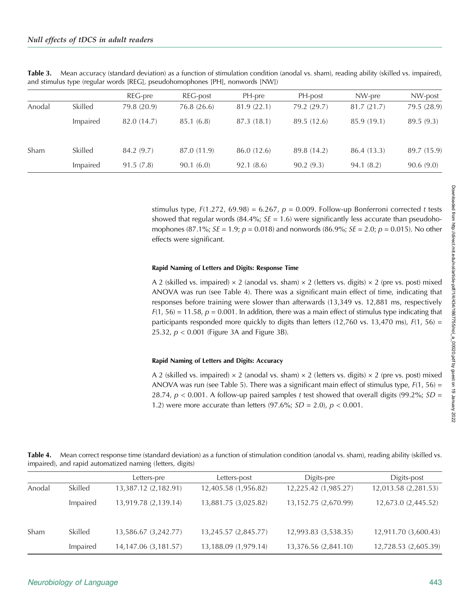|        |          | REG-pre     | REG-post    | PH-pre      | PH-post     | NW-pre      | NW-post     |
|--------|----------|-------------|-------------|-------------|-------------|-------------|-------------|
| Anodal | Skilled  | 79.8 (20.9) | 76.8 (26.6) | 81.9 (22.1) | 79.2 (29.7) | 81.7(21.7)  | 79.5 (28.9) |
|        | Impaired | 82.0 (14.7) | 85.1 (6.8)  | 87.3 (18.1) | 89.5 (12.6) | 85.9 (19.1) | 89.5(9.3)   |
| Sham   | Skilled  | 84.2 (9.7)  | 87.0 (11.9) | 86.0 (12.6) | 89.8 (14.2) | 86.4 (13.3) | 89.7 (15.9) |
|        | Impaired | 91.5(7.8)   | 90.1(6.0)   | 92.1(8.6)   | 90.2(9.3)   | 94.1(8.2)   | 90.6(9.0)   |

Table 3. Mean accuracy (standard deviation) as a function of stimulation condition (anodal vs. sham), reading ability (skilled vs. impaired), and stimulus type (regular words [REG], pseudohomophones [PH], nonwords [NW])

stimulus type,  $F(1.272, 69.98) = 6.267$ ,  $p = 0.009$ . Follow-up Bonferroni corrected t tests showed that regular words (84.4%;  $SE = 1.6$ ) were significantly less accurate than pseudohomophones (87.1%;  $SE = 1.9$ ;  $p = 0.018$ ) and nonwords (86.9%;  $SE = 2.0$ ;  $p = 0.015$ ). No other effects were significant.

#### Rapid Naming of Letters and Digits: Response Time

A 2 (skilled vs. impaired)  $\times$  2 (anodal vs. sham)  $\times$  2 (letters vs. digits)  $\times$  2 (pre vs. post) mixed ANOVA was run (see Table 4). There was a significant main effect of time, indicating that responses before training were slower than afterwards (13,349 vs. 12,881 ms, respectively  $F(1, 56) = 11.58$ ,  $p = 0.001$ . In addition, there was a main effect of stimulus type indicating that participants responded more quickly to digits than letters (12,760 vs. 13,470 ms),  $F(1, 56) =$ 25.32,  $p < 0.001$  (Figure 3A and Figure 3B).

#### Rapid Naming of Letters and Digits: Accuracy

A 2 (skilled vs. impaired)  $\times$  2 (anodal vs. sham)  $\times$  2 (letters vs. digits)  $\times$  2 (pre vs. post) mixed ANOVA was run (see Table 5). There was a significant main effect of stimulus type,  $F(1, 56) =$ 28.74,  $p < 0.001$ . A follow-up paired samples t test showed that overall digits (99.2%;  $SD =$ 1.2) were more accurate than letters (97.6%;  $SD = 2.0$ ),  $p < 0.001$ .

Table 4. Mean correct response time (standard deviation) as a function of stimulation condition (anodal vs. sham), reading ability (skilled vs. impaired), and rapid automatized naming (letters, digits)

|        |          | Letters-pre            | Letters-post         | Digits-pre           | Digits-post          |
|--------|----------|------------------------|----------------------|----------------------|----------------------|
| Anodal | Skilled  | 13,387.12 (2,182.91)   | 12,405.58 (1,956.82) | 12,225.42 (1,985.27) | 12,013.58 (2,281.53) |
|        | Impaired | 13,919.78 (2,139.14)   | 13,881.75 (3,025.82) | 13,152.75 (2,670.99) | 12,673.0 (2,445.52)  |
| Sham   | Skilled  | 13,586.67 (3,242.77)   | 13,245.57 (2,845.77) | 12,993.83 (3,538.35) | 12,911.70 (3,600.43) |
|        | Impaired | 14, 147.06 (3, 181.57) | 13,188.09 (1,979.14) | 13,376.56 (2,841.10) | 12,728.53 (2,605.39) |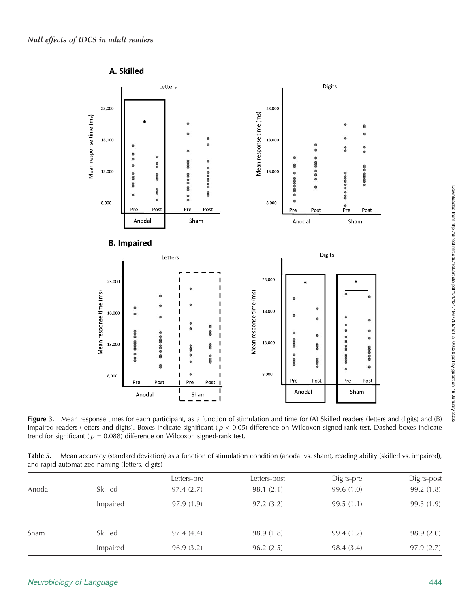

Figure 3. Mean response times for each participant, as a function of stimulation and time for (A) Skilled readers (letters and digits) and (B) Impaired readers (letters and digits). Boxes indicate significant ( $p < 0.05$ ) difference on Wilcoxon signed-rank test. Dashed boxes indicate trend for significant ( $p = 0.088$ ) difference on Wilcoxon signed-rank test.

Table 5. Mean accuracy (standard deviation) as a function of stimulation condition (anodal vs. sham), reading ability (skilled vs. impaired), and rapid automatized naming (letters, digits)

|        |          | Letters-pre | Letters-post | Digits-pre | Digits-post |
|--------|----------|-------------|--------------|------------|-------------|
| Anodal | Skilled  | 97.4(2.7)   | 98.1(2.1)    | 99.6(1.0)  | 99.2(1.8)   |
|        | Impaired | 97.9(1.9)   | 97.2(3.2)    | 99.5(1.1)  | 99.3(1.9)   |
| Sham   | Skilled  | 97.4(4.4)   | 98.9 (1.8)   | 99.4 (1.2) | 98.9(2.0)   |
|        | Impaired | 96.9(3.2)   | 96.2(2.5)    | 98.4 (3.4) | 97.9(2.7)   |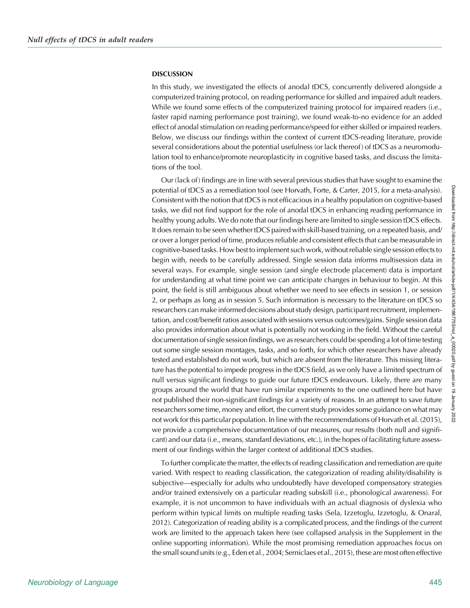#### **DISCUSSION**

In this study, we investigated the effects of anodal tDCS, concurrently delivered alongside a computerized training protocol, on reading performance for skilled and impaired adult readers. While we found some effects of the computerized training protocol for impaired readers (i.e., faster rapid naming performance post training), we found weak-to-no evidence for an added effect of anodal stimulation on reading performance/speed for either skilled or impaired readers. Below, we discuss our findings within the context of current tDCS-reading literature, provide several considerations about the potential usefulness (or lack thereof) of tDCS as a neuromodulation tool to enhance/promote neuroplasticity in cognitive based tasks, and discuss the limitations of the tool.

Our (lack of) findings are in line with several previous studies that have sought to examine the potential of tDCS as a remediation tool (see Horvath, Forte, & Carter, 2015, for a meta-analysis). Consistent with the notion that tDCS is not efficacious in a healthy population on cognitive-based tasks, we did not find support for the role of anodal tDCS in enhancing reading performance in healthy young adults. We do note that our findings here are limited to single session tDCS effects. It does remain to be seen whether tDCS paired with skill-based training, on a repeated basis, and/ or over a longer period of time, produces reliable and consistent effects that can be measurable in cognitive-based tasks. How best to implement such work, without reliable single session effects to begin with, needs to be carefully addressed. Single session data informs multisession data in several ways. For example, single session (and single electrode placement) data is important for understanding at what time point we can anticipate changes in behaviour to begin. At this point, the field is still ambiguous about whether we need to see effects in session 1, or session 2, or perhaps as long as in session 5. Such information is necessary to the literature on tDCS so researchers can make informed decisions about study design, participant recruitment, implementation, and cost/benefit ratios associated with sessions versus outcomes/gains. Single session data also provides information about what is potentially not working in the field. Without the careful documentation of single session findings, we as researchers could be spending a lot of time testing out some single session montages, tasks, and so forth, for which other researchers have already tested and established do not work, but which are absent from the literature. This missing literature has the potential to impede progress in the tDCS field, as we only have a limited spectrum of null versus significant findings to guide our future tDCS endeavours. Likely, there are many groups around the world that have run similar experiments to the one outlined here but have not published their non-significant findings for a variety of reasons. In an attempt to save future researchers some time, money and effort, the current study provides some guidance on what may not work for this particular population. In line with the recommendations of Horvath et al. (2015), we provide a comprehensive documentation of our measures, our results (both null and significant) and our data (i.e., means, standard deviations, etc.), in the hopes of facilitating future assessment of our findings within the larger context of additional tDCS studies.

To further complicate the matter, the effects of reading classification and remediation are quite varied. With respect to reading classification, the categorization of reading ability/disability is subjective—especially for adults who undoubtedly have developed compensatory strategies and/or trained extensively on a particular reading subskill (i.e., phonological awareness). For example, it is not uncommon to have individuals with an actual diagnosis of dyslexia who perform within typical limits on multiple reading tasks (Sela, Izzetoglu, Izzetoglu, & Onaral, 2012). Categorization of reading ability is a complicated process, and the findings of the current work are limited to the approach taken here (see collapsed analysis in the Supplement in the online supporting information). While the most promising remediation approaches focus on the small sound units (e.g., Eden et al., 2004; Serniclaes et al., 2015), these are most often effective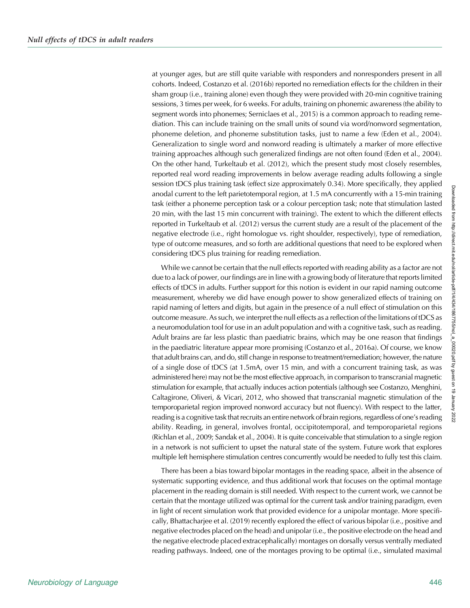at younger ages, but are still quite variable with responders and nonresponders present in all cohorts. Indeed, Costanzo et al. (2016b) reported no remediation effects for the children in their sham group (i.e., training alone) even though they were provided with 20-min cognitive training sessions, 3 times per week, for 6 weeks. For adults, training on phonemic awareness (the ability to segment words into phonemes; Serniclaes et al., 2015) is a common approach to reading remediation. This can include training on the small units of sound via word/nonword segmentation, phoneme deletion, and phoneme substitution tasks, just to name a few (Eden et al., 2004). Generalization to single word and nonword reading is ultimately a marker of more effective training approaches although such generalized findings are not often found (Eden et al., 2004). On the other hand, Turkeltaub et al. (2012), which the present study most closely resembles, reported real word reading improvements in below average reading adults following a single session tDCS plus training task (effect size approximately 0.34). More specifically, they applied anodal current to the left parietotemporal region, at 1.5 mA concurrently with a 15-min training task (either a phoneme perception task or a colour perception task; note that stimulation lasted 20 min, with the last 15 min concurrent with training). The extent to which the different effects reported in Turkeltaub et al. (2012) versus the current study are a result of the placement of the negative electrode (i.e., right homologue vs. right shoulder, respectively), type of remediation, type of outcome measures, and so forth are additional questions that need to be explored when considering tDCS plus training for reading remediation.

While we cannot be certain that the null effects reported with reading ability as a factor are not due to a lack of power, our findings are in line with a growing body of literature that reports limited effects of tDCS in adults. Further support for this notion is evident in our rapid naming outcome measurement, whereby we did have enough power to show generalized effects of training on rapid naming of letters and digits, but again in the presence of a null effect of stimulation on this outcome measure. As such, we interpret the null effects as a reflection of the limitations of tDCS as a neuromodulation tool for use in an adult population and with a cognitive task, such as reading. Adult brains are far less plastic than paediatric brains, which may be one reason that findings in the paediatric literature appear more promising (Costanzo et al., 2016a). Of course, we know that adult brains can, and do, still change in response to treatment/remediation; however, the nature of a single dose of tDCS (at 1.5mA, over 15 min, and with a concurrent training task, as was administered here) may not be the most effective approach, in comparison to transcranial magnetic stimulation for example, that actually induces action potentials (although see Costanzo, Menghini, Caltagirone, Oliveri, & Vicari, 2012, who showed that transcranial magnetic stimulation of the temporoparietal region improved nonword accuracy but not fluency). With respect to the latter, reading is a cognitive task that recruits an entire network of brain regions, regardless of one's reading ability. Reading, in general, involves frontal, occipitotemporal, and temporoparietal regions (Richlan et al., 2009; Sandak et al., 2004). It is quite conceivable that stimulation to a single region in a network is not sufficient to upset the natural state of the system. Future work that explores multiple left hemisphere stimulation centres concurrently would be needed to fully test this claim.

There has been a bias toward bipolar montages in the reading space, albeit in the absence of systematic supporting evidence, and thus additional work that focuses on the optimal montage placement in the reading domain is still needed. With respect to the current work, we cannot be certain that the montage utilized was optimal for the current task and/or training paradigm, even in light of recent simulation work that provided evidence for a unipolar montage. More specifically, Bhattacharjee et al. (2019) recently explored the effect of various bipolar (i.e., positive and negative electrodes placed on the head) and unipolar (i.e., the positive electrode on the head and the negative electrode placed extracephalically) montages on dorsally versus ventrally mediated reading pathways. Indeed, one of the montages proving to be optimal (i.e., simulated maximal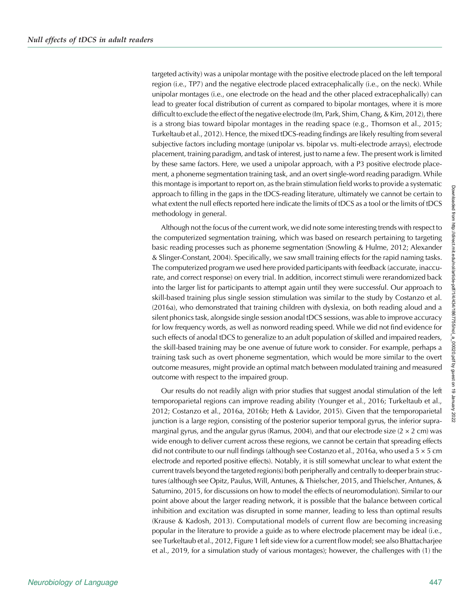targeted activity) was a unipolar montage with the positive electrode placed on the left temporal region (i.e., TP7) and the negative electrode placed extracephalically (i.e., on the neck). While unipolar montages (i.e., one electrode on the head and the other placed extracephalically) can lead to greater focal distribution of current as compared to bipolar montages, where it is more difficult to exclude the effect of the negative electrode (Im, Park, Shim, Chang, & Kim, 2012), there is a strong bias toward bipolar montages in the reading space (e.g., Thomson et al., 2015; Turkeltaub et al., 2012). Hence, the mixed tDCS-reading findings are likely resulting from several subjective factors including montage (unipolar vs. bipolar vs. multi-electrode arrays), electrode placement, training paradigm, and task of interest, just to name a few. The present work is limited by these same factors. Here, we used a unipolar approach, with a P3 positive electrode placement, a phoneme segmentation training task, and an overt single-word reading paradigm. While this montage is important to report on, as the brain stimulation field works to provide a systematic approach to filling in the gaps in the tDCS-reading literature, ultimately we cannot be certain to what extent the null effects reported here indicate the limits of tDCS as a tool or the limits of tDCS methodology in general.

Although not the focus of the current work, we did note some interesting trends with respect to the computerized segmentation training, which was based on research pertaining to targeting basic reading processes such as phoneme segmentation (Snowling & Hulme, 2012; Alexander & Slinger-Constant, 2004). Specifically, we saw small training effects for the rapid naming tasks. The computerized program we used here provided participants with feedback (accurate, inaccurate, and correct response) on every trial. In addition, incorrect stimuli were rerandomized back into the larger list for participants to attempt again until they were successful. Our approach to skill-based training plus single session stimulation was similar to the study by Costanzo et al. (2016a), who demonstrated that training children with dyslexia, on both reading aloud and a silent phonics task, alongside single session anodal tDCS sessions, was able to improve accuracy for low frequency words, as well as nonword reading speed. While we did not find evidence for such effects of anodal tDCS to generalize to an adult population of skilled and impaired readers, the skill-based training may be one avenue of future work to consider. For example, perhaps a training task such as overt phoneme segmentation, which would be more similar to the overt outcome measures, might provide an optimal match between modulated training and measured outcome with respect to the impaired group.

Our results do not readily align with prior studies that suggest anodal stimulation of the left temporoparietal regions can improve reading ability (Younger et al., 2016; Turkeltaub et al., 2012; Costanzo et al., 2016a, 2016b; Heth & Lavidor, 2015). Given that the temporoparietal junction is a large region, consisting of the posterior superior temporal gyrus, the inferior supramarginal gyrus, and the angular gyrus (Ramus, 2004), and that our electrode size  $(2 \times 2 \text{ cm})$  was wide enough to deliver current across these regions, we cannot be certain that spreading effects did not contribute to our null findings (although see Costanzo et al., 2016a, who used a  $5 \times 5$  cm electrode and reported positive effects). Notably, it is still somewhat unclear to what extent the current travels beyond the targeted region(s) both peripherally and centrally to deeper brain structures (although see Opitz, Paulus, Will, Antunes, & Thielscher, 2015, and Thielscher, Antunes, & Saturnino, 2015, for discussions on how to model the effects of neuromodulation). Similar to our point above about the larger reading network, it is possible that the balance between cortical inhibition and excitation was disrupted in some manner, leading to less than optimal results (Krause & Kadosh, 2013). Computational models of current flow are becoming increasing popular in the literature to provide a guide as to where electrode placement may be ideal (i.e., see Turkeltaub et al., 2012, Figure 1 left side view for a current flow model; see also Bhattacharjee et al., 2019, for a simulation study of various montages); however, the challenges with (1) the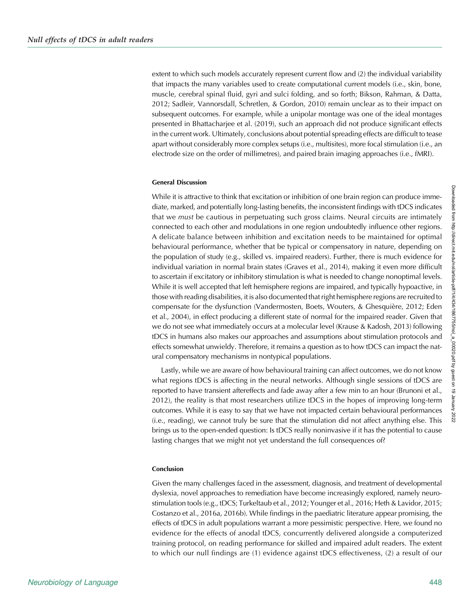extent to which such models accurately represent current flow and (2) the individual variability that impacts the many variables used to create computational current models (i.e., skin, bone, muscle, cerebral spinal fluid, gyri and sulci folding, and so forth; Bikson, Rahman, & Datta, 2012; Sadleir, Vannorsdall, Schretlen, & Gordon, 2010) remain unclear as to their impact on subsequent outcomes. For example, while a unipolar montage was one of the ideal montages presented in Bhattacharjee et al. (2019), such an approach did not produce significant effects in the current work. Ultimately, conclusions about potential spreading effects are difficult to tease apart without considerably more complex setups (i.e., multisites), more focal stimulation (i.e., an electrode size on the order of millimetres), and paired brain imaging approaches (i.e., fMRI).

#### General Discussion

While it is attractive to think that excitation or inhibition of one brain region can produce immediate, marked, and potentially long-lasting benefits, the inconsistent findings with tDCS indicates that we *must* be cautious in perpetuating such gross claims. Neural circuits are intimately connected to each other and modulations in one region undoubtedly influence other regions. A delicate balance between inhibition and excitation needs to be maintained for optimal behavioural performance, whether that be typical or compensatory in nature, depending on the population of study (e.g., skilled vs. impaired readers). Further, there is much evidence for individual variation in normal brain states (Graves et al., 2014), making it even more difficult to ascertain if excitatory or inhibitory stimulation is what is needed to change nonoptimal levels. While it is well accepted that left hemisphere regions are impaired, and typically hypoactive, in those with reading disabilities, it is also documented that right hemisphere regions are recruited to compensate for the dysfunction (Vandermosten, Boets, Wouters, & Ghesquière, 2012; Eden et al., 2004), in effect producing a different state of normal for the impaired reader. Given that we do not see what immediately occurs at a molecular level (Krause & Kadosh, 2013) following tDCS in humans also makes our approaches and assumptions about stimulation protocols and effects somewhat unwieldy. Therefore, it remains a question as to how tDCS can impact the natural compensatory mechanisms in nontypical populations.

Lastly, while we are aware of how behavioural training can affect outcomes, we do not know what regions tDCS is affecting in the neural networks. Although single sessions of tDCS are reported to have transient aftereffects and fade away after a few min to an hour (Brunoni et al., 2012), the reality is that most researchers utilize tDCS in the hopes of improving long-term outcomes. While it is easy to say that we have not impacted certain behavioural performances (i.e., reading), we cannot truly be sure that the stimulation did not affect anything else. This brings us to the open-ended question: Is tDCS really noninvasive if it has the potential to cause lasting changes that we might not yet understand the full consequences of?

#### Conclusion

Given the many challenges faced in the assessment, diagnosis, and treatment of developmental dyslexia, novel approaches to remediation have become increasingly explored, namely neurostimulation tools (e.g., tDCS; Turkeltaub et al., 2012; Younger et al., 2016; Heth & Lavidor, 2015; Costanzo et al., 2016a, 2016b). While findings in the paediatric literature appear promising, the effects of tDCS in adult populations warrant a more pessimistic perspective. Here, we found no evidence for the effects of anodal tDCS, concurrently delivered alongside a computerized training protocol, on reading performance for skilled and impaired adult readers. The extent to which our null findings are (1) evidence against tDCS effectiveness, (2) a result of our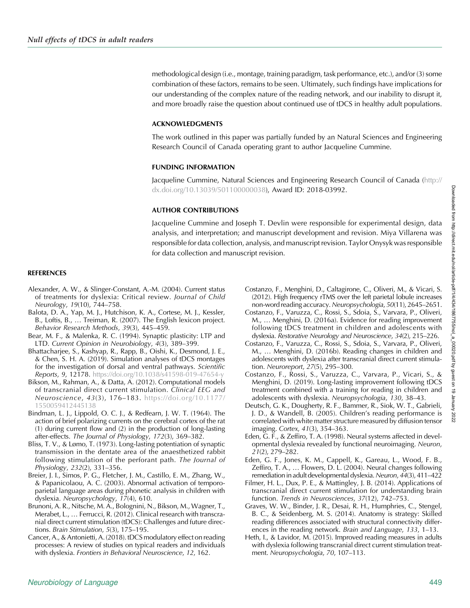methodological design (i.e., montage, training paradigm, task performance, etc.), and/or (3) some combination of these factors, remains to be seen. Ultimately, such findings have implications for our understanding of the complex nature of the reading network, and our inability to disrupt it, and more broadly raise the question about continued use of tDCS in healthy adult populations.

## ACKNOWLEDGMENTS

The work outlined in this paper was partially funded by an Natural Sciences and Engineering Research Council of Canada operating grant to author Jacqueline Cummine.

## FUNDING INFORMATION

Jacqueline Cummine, Natural Sciences and Engineering Research Council of Canada ([http://](http://dx.doi.org/10.13039/501100000038) [dx.doi.org/10.13039/501100000038](http://dx.doi.org/10.13039/501100000038)), Award ID: 2018-03992.

## AUTHOR CONTRIBUTIONS

Jacqueline Cummine and Joseph T. Devlin were responsible for experimental design, data analysis, and interpretation; and manuscript development and revision. Miya Villarena was responsible for data collection, analysis, and manuscript revision. Taylor Onysyk was responsible for data collection and manuscript revision.

## REFERENCES

- Alexander, A. W., & Slinger-Constant, A.-M. (2004). Current status of treatments for dyslexia: Critical review. Journal of Child Neurology, 19(10), 744–758.
- Balota, D. A., Yap, M. J., Hutchison, K. A., Cortese, M. J., Kessler, B., Loftis, B., … Treiman, R. (2007). The English lexicon project. Behavior Research Methods, 39(3), 445–459.
- Bear, M. F., & Malenka, R. C. (1994). Synaptic plasticity: LTP and LTD. Current Opinion in Neurobiology, 4(3), 389–399.
- Bhattacharjee, S., Kashyap, R., Rapp, B., Oishi, K., Desmond, J. E., & Chen, S. H. A. (2019). Simulation analyses of tDCS montages for the investigation of dorsal and ventral pathways. Scientific Reports, 9, 12178. <https://doi.org/10.1038/s41598-019-47654-y>
- Bikson, M., Rahman, A., & Datta, A. (2012). Computational models of transcranial direct current stimulation. Clinical EEG and Neuroscience, 43(3), 176–183. [https://doi.org/10.1177/](https://doi.org/10.1177/1550059412445138) [1550059412445138](https://doi.org/10.1177/1550059412445138)
- Bindman, L. J., Lippold, O. C. J., & Redfearn, J. W. T. (1964). The action of brief polarizing currents on the cerebral cortex of the rat (1) during current flow and (2) in the production of long-lasting after-effects. The Journal of Physiology, 172(3), 369–382.
- Bliss, T. V., & Lømo, T. (1973). Long-lasting potentiation of synaptic transmission in the dentate area of the anaesthetized rabbit following stimulation of the perforant path. The Journal of Physiology, 232(2), 331–356.
- Breier, J. I., Simos, P. G., Fletcher, J. M., Castillo, E. M., Zhang, W., & Papanicolaou, A. C. (2003). Abnormal activation of temporoparietal language areas during phonetic analysis in children with dyslexia. Neuropsychology, 17(4), 610.
- Brunoni, A. R., Nitsche, M. A., Bolognini, N., Bikson, M., Wagner, T., Merabet, L., … Ferrucci, R. (2012). Clinical research with transcranial direct current stimulation (tDCS): Challenges and future directions. Brain Stimulation, 5(3), 175–195.
- Cancer, A., & Antonietti, A. (2018). tDCS modulatory effect on reading processes: A review of studies on typical readers and individuals with dyslexia. Frontiers in Behavioral Neuroscience, 12, 162.
- Costanzo, F., Menghini, D., Caltagirone, C., Oliveri, M., & Vicari, S. (2012). High frequency rTMS over the left parietal lobule increases non-word reading accuracy. Neuropsychologia, 50(11), 2645–2651.
- Costanzo, F., Varuzza, C., Rossi, S., Sdoia, S., Varvara, P., Oliveri, M., … Menghini, D. (2016a). Evidence for reading improvement following tDCS treatment in children and adolescents with dyslexia. Restorative Neurology and Neuroscience, 34(2), 215–226.
- Costanzo, F., Varuzza, C., Rossi, S., Sdoia, S., Varvara, P., Oliveri, M., … Menghini, D. (2016b). Reading changes in children and adolescents with dyslexia after transcranial direct current stimulation. Neuroreport, 27(5), 295–300.
- Costanzo, F., Rossi, S., Varuzza, C., Varvara, P., Vicari, S., & Menghini, D. (2019). Long-lasting improvement following tDCS treatment combined with a training for reading in children and adolescents with dyslexia. Neuropsychologia, 130, 38–43.
- Deutsch, G. K., Dougherty, R. F., Bammer, R., Siok, W. T., Gabrieli, J. D., & Wandell, B. (2005). Children's reading performance is correlated with white matter structure measured by diffusion tensor imaging. Cortex, 41(3), 354–363.
- Eden, G. F., & Zeffiro, T. A. (1998). Neural systems affected in developmental dyslexia revealed by functional neuroimaging. Neuron, 21(2), 279–282.
- Eden, G. F., Jones, K. M., Cappell, K., Gareau, L., Wood, F. B., Zeffiro, T. A., … Flowers, D. L. (2004). Neural changes following remediation in adult developmental dyslexia. Neuron, 44(3), 411-422
- Filmer, H. L., Dux, P. E., & Mattingley, J. B. (2014). Applications of transcranial direct current stimulation for understanding brain function. Trends in Neurosciences, 37(12), 742–753.
- Graves, W. W., Binder, J. R., Desai, R. H., Humphries, C., Stengel, B. C., & Seidenberg, M. S. (2014). Anatomy is strategy: Skilled reading differences associated with structural connectivity differences in the reading network. Brain and Language, 133, 1–13.
- Heth, I., & Lavidor, M. (2015). Improved reading measures in adults with dyslexia following transcranial direct current stimulation treatment. Neuropsychologia, 70, 107–113.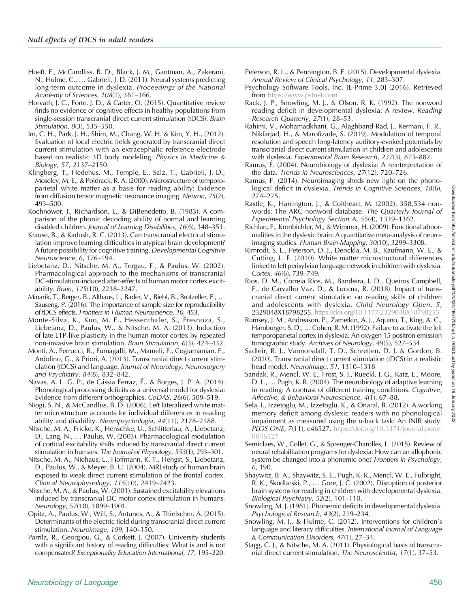- Hoeft, F., McCandliss, B. D., Black, J. M., Gantman, A., Zakerani, N., Hulme, C., … Gabrieli, J. D. (2011). Neural systems predicting long-term outcome in dyslexia. Proceedings of the National Academy of Sciences, 108(1), 361–366.
- Horvath, J. C., Forte, J. D., & Carter, O. (2015). Quantitative review finds no evidence of cognitive effects in healthy populations from single-session transcranial direct current stimulation (tDCS). Brain Stimulation, 8(3), 535–550.
- Im, C. H., Park, J. H., Shim, M., Chang, W. H. & Kim, Y. H., (2012). Evaluation of local electric fields generated by transcranial direct current stimulation with an extracephalic reference electrode based on realistic 3D body modeling. Physics in Medicine & Biology, 57, 2137–2150.
- Klingberg, T., Hedehus, M., Temple, E., Salz, T., Gabrieli, J. D., Moseley, M. E., & Poldrack, R. A. (2000). Microstructure of temporoparietal white matter as a basis for reading ability: Evidence from diffusion tensor magnetic resonance imaging. Neuron, 25(2), 493–500.
- Kochnower, J., Richardson, E., & DiBenedetto, B. (1983). A comparison of the phonic decoding ability of normal and learning disabled children. Journal of Learning Disabilities, 16(6), 348–351.
- Krause, B., & Kadosh, R. C. (2013). Can transcranial electrical stimulation improve learning difficulties in atypical brain development? A future possibility for cognitive training. Developmental Cognitive Neuroscience, 6, 176–194.
- Liebetanz, D., Nitsche, M. A., Tergau, F., & Paulus, W. (2002). Pharmacological approach to the mechanisms of transcranial DC-stimulation-induced after-effects of human motor cortex excitability. Brain, 125(10), 2238–2247.
- Minarik, T., Berger, B., Althaus, L., Bader, V., Biebl, B., Brotzeller, F., … Sauseng, P. (2016). The importance of sample size for reproducibility of tDCS effects. Frontiers in Human Neuroscience, 10, 453.
- Monte-Silva, K., Kuo, M. F., Hessenthaler, S., Fresnoza, S., Liebetanz, D., Paulus, W., & Nitsche, M. A. (2013). Induction of late LTP-like plasticity in the human motor cortex by repeated non-invasive brain stimulation. Brain Stimulation, 6(3), 424–432.
- Monti, A., Ferrucci, R., Fumagalli, M., Mameli, F., Cogiamanian, F., Ardolino, G., & Priori, A. (2013). Transcranial direct current stimulation (tDCS) and language. Journal of Neurology, Neurosurgery and Psychiatry, 84(8), 832–842.
- Navas, A. L. G. P., de Cássia Ferraz, É., & Borges, J. P. A. (2014). Phonological processing deficits as a universal model for dyslexia: Evidence from different orthographies. CoDAS, 26(6), 509–519.
- Niogi, S. N., & McCandliss, B. D. (2006). Left lateralized white matter microstructure accounts for individual differences in reading ability and disability. Neuropsychologia, 44(11), 2178–2188.
- Nitsche, M. A., Fricke, K., Henschke, U., Schlitterlau, A., Liebetanz, D., Lang, N., … Paulus, W. (2003). Pharmacological modulation of cortical excitability shifts induced by transcranial direct current stimulation in humans. The Journal of Physiology, 553(1), 293–301.
- Nitsche, M. A., Niehaus, L., Hoffmann, K. T., Hengst, S., Liebetanz, D., Paulus, W., & Meyer, B. U. (2004). MRI study of human brain exposed to weak direct current stimulation of the frontal cortex. Clinical Neurophysiology, 115(10), 2419–2423.
- Nitsche, M. A., & Paulus, W. (2001). Sustained excitability elevations induced by transcranial DC motor cortex stimulation in humans. Neurology, 57(10), 1899–1901.
- Opitz, A., Paulus, W., Will, S., Antunes, A., & Thielscher, A. (2015). Determinants of the electric field during transcranial direct current stimulation. Neuroimage, 109, 140–150.
- Parrila, R., Georgiou, G., & Corkett, J. (2007). University students with a significant history of reading difficulties: What is and is not compensated? Exceptionality Education International, 17, 195–220.
- Peterson, R. L., & Pennington, B. F. (2015). Developmental dyslexia. Annual Review of Clinical Psychology, 11, 283–307.
- Psychology Software Tools, Inc. [E-Prime 3.0] (2016). Retrieved from <https://www.pstnet.com>
- Rack, J. P., Snowling, M. J., & Olson, R. K. (1992). The nonword reading deficit in developmental dyslexia: A review. Reading Research Quarterly, 27(1), 28–53.
- Rahimi, V., Mohamadkhani, G., Alaghband-Rad, J., Kermani, F. R., Nikfarjad, H., & Marofizade, S. (2019). Modulation of temporal resolution and speech long-latency auditory-evoked potentials by transcranial direct current stimulation in children and adolescents with dyslexia. Experimental Brain Research, 237(3), 873–882.
- Ramus, F. (2004). Neurobiology of dyslexia: A reinterpretation of the data. Trends in Neurosciences, 27(12), 720–726.
- Ramus, F. (2014). Neuroimaging sheds new light on the phonological deficit in dyslexia. Trends in Cognitive Sciences, 18(6), 274–275.
- Rastle, K., Harrington, J., & Coltheart, M. (2002). 358,534 nonwords: The ARC nonword database. The Quarterly Journal of Experimental Psychology Section A, 55(4), 1339–1362.
- Richlan, F., Kronbichler, M., & Wimmer, H. (2009). Functional abnormalities in the dyslexic brain: A quantitative meta-analysis of neuroimaging studies. Human Brain Mapping, 30(10), 3299–3308.
- Rimrodt, S. L., Peterson, D. J., Denckla, M. B., Kaufmann, W. E., & Cutting, L. E. (2010). White matter microstructural differences linked to left perisylvian language network in children with dyslexia. Cortex, 46(6), 739–749.
- Rios, D. M., Correia Rios, M., Bandeira, I. D., Queiros Campbell, F., de Carvalho Vaz, D., & Lucena, R. (2018). Impact of transcranial direct current stimulation on reading skills of children and adolescents with dyslexia. Child Neurology Open, 5, 2329048X18798255. <https://doi.org/10.1177/2329048X18798255>
- Rumsey, J. M., Andreason, P., Zametkin, A. J., Aquino, T., King, A. C., Hamburger, S. D., … Cohen, R. M. (1992). Failure to activate the left temporoparietal cortex in dyslexia: An oxygen 15 positron emission tomographic study. Archives of Neurology, 49(5), 527–534.
- Sadleir, R. J., Vannorsdall, T. D., Schretlen, D. J. & Gordon, B. (2010). Transcranial direct current stimulation (tDCS) in a realistic head model. NeuroImage, 51, 1310–1318
- Sandak, R., Mencl, W. E., Frost, S. J., Rueckl, J. G., Katz, L., Moore, D. L., … Pugh, K. R. (2004). The neurobiology of adaptive learning in reading: A contrast of different training conditions. Cognitive, Affective, & Behavioral Neuroscience, 4(1), 67–88.
- Sela, I., Izzetoglu, M., Izzetoglu, K., & Onaral, B. (2012). A working memory deficit among dyslexic readers with no phonological impairment as measured using the n-back task: An fNIR study. PLOS ONE, 7(11), e46527. [https://doi.org/10.1371/journal.pone.](https://doi.org/10.1371/journal.pone.0046527) 004652
- Serniclaes, W., Collet, G., & Sprenger-Charolles, L. (2015). Review of neural rehabilitation programs for dyslexia: How can an allophonic system be changed into a phonemic one? Frontiers in Psychology, 6, 190.
- Shaywitz, B. A., Shaywitz, S. E., Pugh, K. R., Mencl, W. E., Fulbright, R. K., Skudlarski, P., … Gore, J. C. (2002). Disruption of posterior brain systems for reading in children with developmental dyslexia. Biological Psychiatry, 52(2), 101–110.
- Snowling, M. J. (1981). Phonemic deficits in developmental dyslexia. Psychological Research, 43(2), 219–234.
- Snowling, M. J., & Hulme, C. (2012). Interventions for children's language and literacy difficulties. International Journal of Language & Communication Disorders, 47(1), 27–34.
- Stagg, C. J., & Nitsche, M. A. (2011). Physiological basis of transcranial direct current stimulation. The Neuroscientist, 17(1), 37–53.